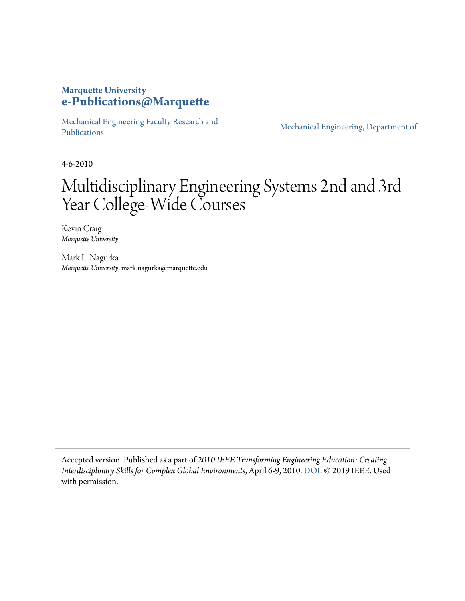#### **Marquette University [e-Publications@Marquette](https://epublications.marquette.edu)**

[Mechanical Engineering Faculty Research and](https://epublications.marquette.edu/mechengin_fac) [Publications](https://epublications.marquette.edu/mechengin_fac)

[Mechanical Engineering, Department of](https://epublications.marquette.edu/mechengin)

4-6-2010

# Multidisciplinary Engineering Systems 2nd and 3rd Year College-Wide Courses

Kevin Craig *Marquette University*

Mark L. Nagurka *Marquette University*, mark.nagurka@marquette.edu

Accepted version. Published as a part of *2010 IEEE Transforming Engineering Education: Creating Interdisciplinary Skills for Complex Global Environments*, April 6-9, 2010. [DOI.](https://doi.org/10.1109/TEE.2010.5508868) © 2019 IEEE. Used with permission.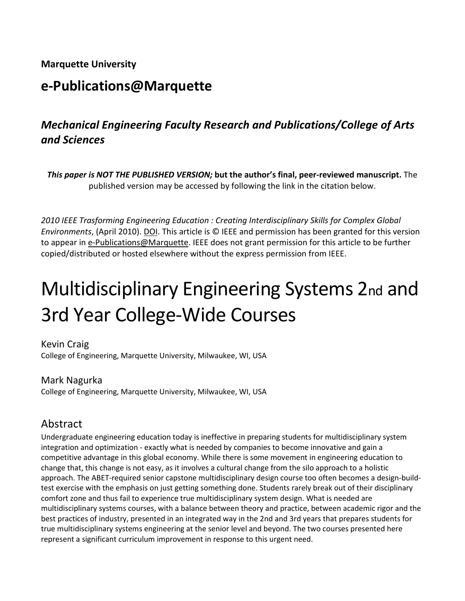#### **Marquette University**

## **e-Publications@Marquette**

## *Mechanical Engineering Faculty Research and Publications/College of Arts and Sciences*

*This paper is NOT THE PUBLISHED VERSION;* **but the author's final, peer-reviewed manuscript.** The published version may be accessed by following the link in the citation below.

*2010 IEEE Trasforming Engineering Education : Creating Interdisciplinary Skills for Complex Global Environments*, (April 2010). DOI. This article is © IEEE and permission has been granted for this version to appear in [e-Publications@Marquette.](http://epublications.marquette.edu/) IEEE does not grant permission for this article to be further copied/distributed or hosted elsewhere without the express permission from IEEE.

# Multidisciplinary Engineering Systems 2nd and 3rd Year College-Wide Courses

Kevin Craig College of Engineering, Marquette University, Milwaukee, WI, USA

#### Mark Nagurka

College of Engineering, Marquette University, Milwaukee, WI, USA

## Abstract

Undergraduate engineering education today is ineffective in preparing students for multidisciplinary system integration and optimization - exactly what is needed by companies to become innovative and gain a competitive advantage in this global economy. While there is some movement in engineering education to change that, this change is not easy, as it involves a cultural change from the silo approach to a holistic approach. The ABET-required senior capstone multidisciplinary design course too often becomes a design-buildtest exercise with the emphasis on just getting something done. Students rarely break out of their disciplinary comfort zone and thus fail to experience true multidisciplinary system design. What is needed are multidisciplinary systems courses, with a balance between theory and practice, between academic rigor and the best practices of industry, presented in an integrated way in the 2nd and 3rd years that prepares students for true multidisciplinary systems engineering at the senior level and beyond. The two courses presented here represent a significant curriculum improvement in response to this urgent need.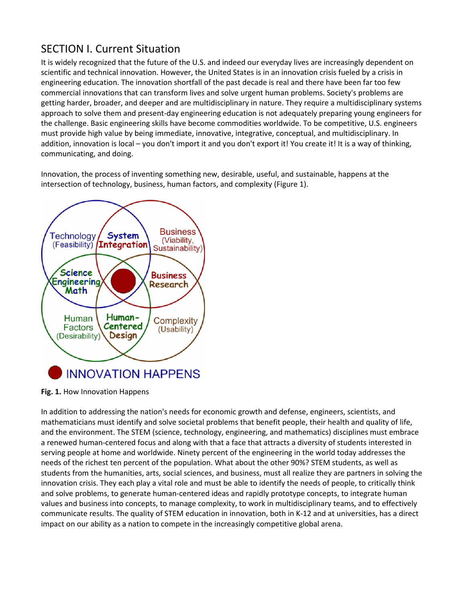### SECTION I. Current Situation

It is widely recognized that the future of the U.S. and indeed our everyday lives are increasingly dependent on scientific and technical innovation. However, the United States is in an innovation crisis fueled by a crisis in engineering education. The innovation shortfall of the past decade is real and there have been far too few commercial innovations that can transform lives and solve urgent human problems. Society's problems are getting harder, broader, and deeper and are multidisciplinary in nature. They require a multidisciplinary systems approach to solve them and present-day engineering education is not adequately preparing young engineers for the challenge. Basic engineering skills have become commodities worldwide. To be competitive, U.S. engineers must provide high value by being immediate, innovative, integrative, conceptual, and multidisciplinary. In addition, innovation is local – you don't import it and you don't export it! You create it! It is a way of thinking, communicating, and doing.

Innovation, the process of inventing something new, desirable, useful, and sustainable, happens at the intersection of technology, business, human factors, and complexity (Figure 1).



**Fig. 1.** How Innovation Happens

In addition to addressing the nation's needs for economic growth and defense, engineers, scientists, and mathematicians must identify and solve societal problems that benefit people, their health and quality of life, and the environment. The STEM (science, technology, engineering, and mathematics) disciplines must embrace a renewed human-centered focus and along with that a face that attracts a diversity of students interested in serving people at home and worldwide. Ninety percent of the engineering in the world today addresses the needs of the richest ten percent of the population. What about the other 90%? STEM students, as well as students from the humanities, arts, social sciences, and business, must all realize they are partners in solving the innovation crisis. They each play a vital role and must be able to identify the needs of people, to critically think and solve problems, to generate human-centered ideas and rapidly prototype concepts, to integrate human values and business into concepts, to manage complexity, to work in multidisciplinary teams, and to effectively communicate results. The quality of STEM education in innovation, both in K-12 and at universities, has a direct impact on our ability as a nation to compete in the increasingly competitive global arena.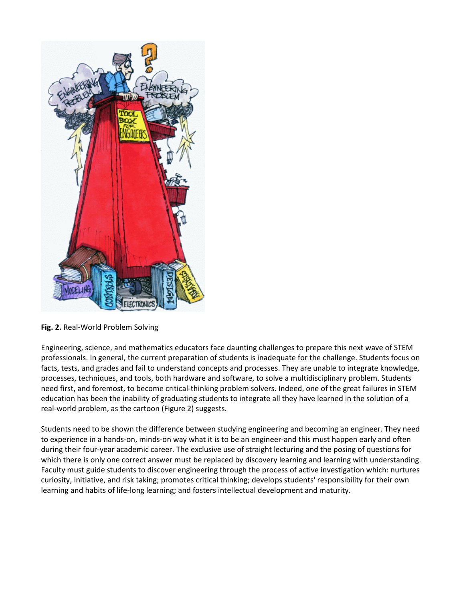

**Fig. 2.** Real-World Problem Solving

Engineering, science, and mathematics educators face daunting challenges to prepare this next wave of STEM professionals. In general, the current preparation of students is inadequate for the challenge. Students focus on facts, tests, and grades and fail to understand concepts and processes. They are unable to integrate knowledge, processes, techniques, and tools, both hardware and software, to solve a multidisciplinary problem. Students need first, and foremost, to become critical-thinking problem solvers. Indeed, one of the great failures in STEM education has been the inability of graduating students to integrate all they have learned in the solution of a real-world problem, as the cartoon (Figure 2) suggests.

Students need to be shown the difference between studying engineering and becoming an engineer. They need to experience in a hands-on, minds-on way what it is to be an engineer-and this must happen early and often during their four-year academic career. The exclusive use of straight lecturing and the posing of questions for which there is only one correct answer must be replaced by discovery learning and learning with understanding. Faculty must guide students to discover engineering through the process of active investigation which: nurtures curiosity, initiative, and risk taking; promotes critical thinking; develops students' responsibility for their own learning and habits of life-long learning; and fosters intellectual development and maturity.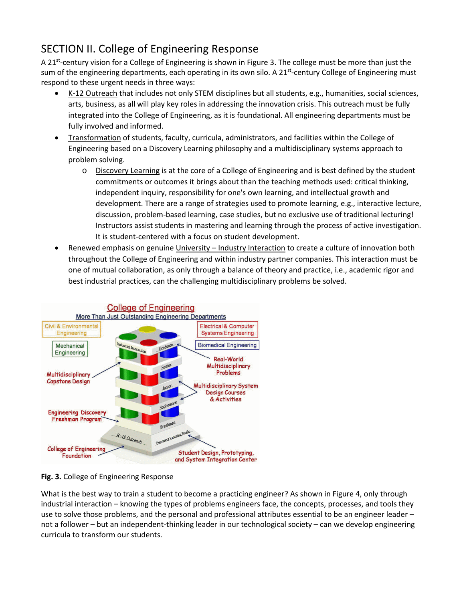## SECTION II. College of Engineering Response

A 21<sup>st</sup>-century vision for a College of Engineering is shown in Figure 3. The college must be more than just the sum of the engineering departments, each operating in its own silo. A 21<sup>st</sup>-century College of Engineering must respond to these urgent needs in three ways:

- K-12 Outreach that includes not only STEM disciplines but all students, e.g., humanities, social sciences, arts, business, as all will play key roles in addressing the innovation crisis. This outreach must be fully integrated into the College of Engineering, as it is foundational. All engineering departments must be fully involved and informed.
- Transformation of students, faculty, curricula, administrators, and facilities within the College of Engineering based on a Discovery Learning philosophy and a multidisciplinary systems approach to problem solving.
	- o Discovery Learning is at the core of a College of Engineering and is best defined by the student commitments or outcomes it brings about than the teaching methods used: critical thinking, independent inquiry, responsibility for one's own learning, and intellectual growth and development. There are a range of strategies used to promote learning, e.g., interactive lecture, discussion, problem-based learning, case studies, but no exclusive use of traditional lecturing! Instructors assist students in mastering and learning through the process of active investigation. It is student-centered with a focus on student development.
- Renewed emphasis on genuine University Industry Interaction to create a culture of innovation both throughout the College of Engineering and within industry partner companies. This interaction must be one of mutual collaboration, as only through a balance of theory and practice, i.e., academic rigor and best industrial practices, can the challenging multidisciplinary problems be solved.



**Fig. 3.** College of Engineering Response

What is the best way to train a student to become a practicing engineer? As shown in Figure 4, only through industrial interaction – knowing the types of problems engineers face, the concepts, processes, and tools they use to solve those problems, and the personal and professional attributes essential to be an engineer leader – not a follower – but an independent-thinking leader in our technological society – can we develop engineering curricula to transform our students.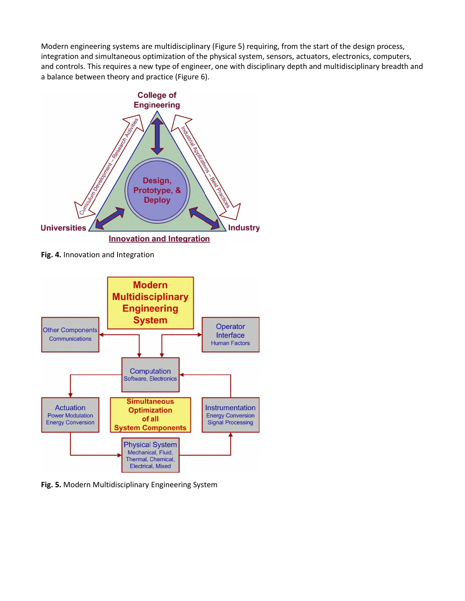Modern engineering systems are multidisciplinary (Figure 5) requiring, from the start of the design process, integration and simultaneous optimization of the physical system, sensors, actuators, electronics, computers, and controls. This requires a new type of engineer, one with disciplinary depth and multidisciplinary breadth and a balance between theory and practice (Figure 6).



**Fig. 4.** Innovation and Integration



**Fig. 5.** Modern Multidisciplinary Engineering System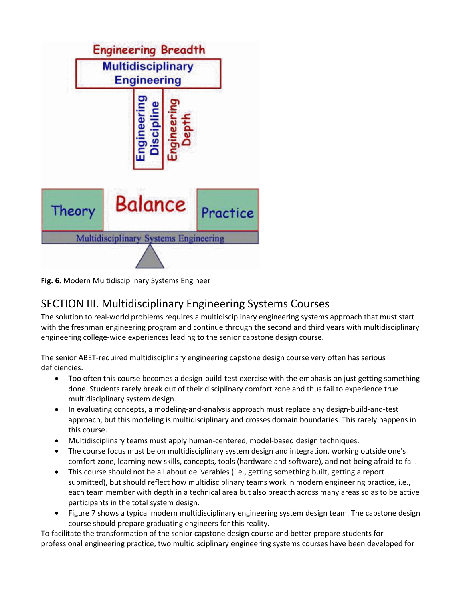

**Fig. 6.** Modern Multidisciplinary Systems Engineer

## SECTION III. Multidisciplinary Engineering Systems Courses

The solution to real-world problems requires a multidisciplinary engineering systems approach that must start with the freshman engineering program and continue through the second and third years with multidisciplinary engineering college-wide experiences leading to the senior capstone design course.

The senior ABET-required multidisciplinary engineering capstone design course very often has serious deficiencies.

- Too often this course becomes a design-build-test exercise with the emphasis on just getting something done. Students rarely break out of their disciplinary comfort zone and thus fail to experience true multidisciplinary system design.
- In evaluating concepts, a modeling-and-analysis approach must replace any design-build-and-test approach, but this modeling is multidisciplinary and crosses domain boundaries. This rarely happens in this course.
- Multidisciplinary teams must apply human-centered, model-based design techniques.
- The course focus must be on multidisciplinary system design and integration, working outside one's comfort zone, learning new skills, concepts, tools (hardware and software), and not being afraid to fail.
- This course should not be all about deliverables (i.e., getting something built, getting a report submitted), but should reflect how multidisciplinary teams work in modern engineering practice, i.e., each team member with depth in a technical area but also breadth across many areas so as to be active participants in the total system design.
- Figure 7 shows a typical modern multidisciplinary engineering system design team. The capstone design course should prepare graduating engineers for this reality.

To facilitate the transformation of the senior capstone design course and better prepare students for professional engineering practice, two multidisciplinary engineering systems courses have been developed for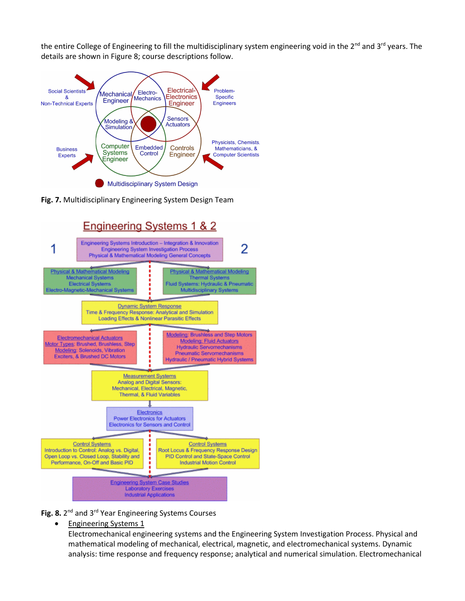the entire College of Engineering to fill the multidisciplinary system engineering void in the 2<sup>nd</sup> and 3<sup>rd</sup> years. The details are shown in Figure 8; course descriptions follow.



**Fig. 7.** Multidisciplinary Engineering System Design Team



Fig. 8. 2<sup>nd</sup> and 3<sup>rd</sup> Year Engineering Systems Courses

• Engineering Systems 1

Electromechanical engineering systems and the Engineering System Investigation Process. Physical and mathematical modeling of mechanical, electrical, magnetic, and electromechanical systems. Dynamic analysis: time response and frequency response; analytical and numerical simulation. Electromechanical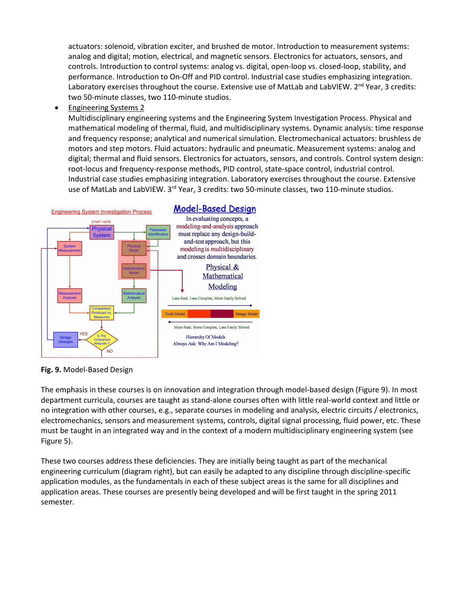actuators: solenoid, vibration exciter, and brushed de motor. Introduction to measurement systems: analog and digital; motion, electrical, and magnetic sensors. Electronics for actuators, sensors, and controls. Introduction to control systems: analog vs. digital, open-loop vs. closed-loop, stability, and performance. Introduction to On-Off and PID control. Industrial case studies emphasizing integration. Laboratory exercises throughout the course. Extensive use of MatLab and LabVIEW. 2<sup>nd</sup> Year, 3 credits: two 50-minute classes, two 110-minute studios.

#### • Engineering Systems 2

Multidisciplinary engineering systems and the Engineering System Investigation Process. Physical and mathematical modeling of thermal, fluid, and multidisciplinary systems. Dynamic analysis: time response and frequency response; analytical and numerical simulation. Electromechanical actuators: brushless de motors and step motors. Fluid actuators: hydraulic and pneumatic. Measurement systems: analog and digital; thermal and fluid sensors. Electronics for actuators, sensors, and controls. Control system design: root-locus and frequency-response methods, PID control, state-space control, industrial control. Industrial case studies emphasizing integration. Laboratory exercises throughout the course. Extensive use of MatLab and LabVIEW. 3<sup>rd</sup> Year, 3 credits: two 50-minute classes, two 110-minute studios.



**Fig. 9.** Model-Based Design

The emphasis in these courses is on innovation and integration through model-based design (Figure 9). In most department curricula, courses are taught as stand-alone courses often with little real-world context and little or no integration with other courses, e.g., separate courses in modeling and analysis, electric circuits / electronics, electromechanics, sensors and measurement systems, controls, digital signal processing, fluid power, etc. These must be taught in an integrated way and in the context of a modern multidisciplinary engineering system (see Figure 5).

These two courses address these deficiencies. They are initially being taught as part of the mechanical engineering curriculum (diagram right), but can easily be adapted to any discipline through discipline-specific application modules, as the fundamentals in each of these subject areas is the same for all disciplines and application areas. These courses are presently being developed and will be first taught in the spring 2011 semester.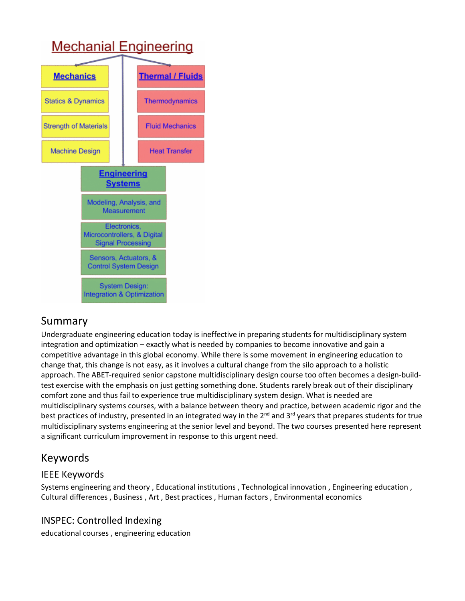## **Mechanial Engineering**



#### Summary

Undergraduate engineering education today is ineffective in preparing students for multidisciplinary system integration and optimization – exactly what is needed by companies to become innovative and gain a competitive advantage in this global economy. While there is some movement in engineering education to change that, this change is not easy, as it involves a cultural change from the silo approach to a holistic approach. The ABET-required senior capstone multidisciplinary design course too often becomes a design-buildtest exercise with the emphasis on just getting something done. Students rarely break out of their disciplinary comfort zone and thus fail to experience true multidisciplinary system design. What is needed are multidisciplinary systems courses, with a balance between theory and practice, between academic rigor and the best practices of industry, presented in an integrated way in the 2<sup>nd</sup> and 3<sup>rd</sup> years that prepares students for true multidisciplinary systems engineering at the senior level and beyond. The two courses presented here represent a significant curriculum improvement in response to this urgent need.

#### Keywords

#### IEEE Keywords

Systems engineering and theory , Educational institutions , Technological innovation , Engineering education , Cultural differences , Business , Art , Best practices , Human factors , Environmental economics

#### INSPEC: Controlled Indexing

educational courses , engineering education